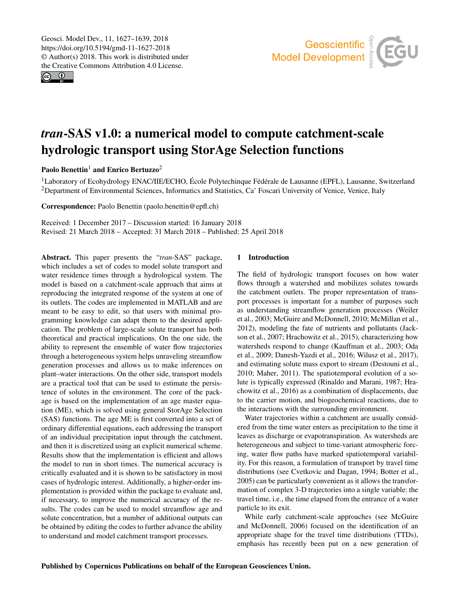<span id="page-0-1"></span> $\circ$   $\circ$ 



# *tran*-SAS v1.0: a numerical model to compute catchment-scale hydrologic transport using StorAge Selection functions

## Paolo Benettin<sup>[1](#page-0-0)</sup> and Enrico Bertuzzo<sup>[2](#page-0-0)</sup>

<sup>1</sup>Laboratory of Ecohydrology ENAC/IIE/ECHO, École Polytechinque Fédérale de Lausanne (EPFL), Lausanne, Switzerland <sup>2</sup>Department of Environmental Sciences, Informatics and Statistics, Ca' Foscari University of Venice, Venice, Italy

Correspondence: Paolo Benettin (paolo.benettin@epfl.ch)

Received: 1 December 2017 – Discussion started: 16 January 2018 Revised: 21 March 2018 – Accepted: 31 March 2018 – Published: 25 April 2018

<span id="page-0-0"></span>Abstract. This paper presents the "*tran*-SAS" package, which includes a set of codes to model solute transport and water residence times through a hydrological system. The model is based on a catchment-scale approach that aims at reproducing the integrated response of the system at one of its outlets. The codes are implemented in MATLAB and are meant to be easy to edit, so that users with minimal programming knowledge can adapt them to the desired application. The problem of large-scale solute transport has both theoretical and practical implications. On the one side, the ability to represent the ensemble of water flow trajectories through a heterogeneous system helps unraveling streamflow generation processes and allows us to make inferences on plant–water interactions. On the other side, transport models are a practical tool that can be used to estimate the persistence of solutes in the environment. The core of the package is based on the implementation of an age master equation (ME), which is solved using general StorAge Selection (SAS) functions. The age ME is first converted into a set of ordinary differential equations, each addressing the transport of an individual precipitation input through the catchment, and then it is discretized using an explicit numerical scheme. Results show that the implementation is efficient and allows the model to run in short times. The numerical accuracy is critically evaluated and it is shown to be satisfactory in most cases of hydrologic interest. Additionally, a higher-order implementation is provided within the package to evaluate and, if necessary, to improve the numerical accuracy of the results. The codes can be used to model streamflow age and solute concentration, but a number of additional outputs can be obtained by editing the codes to further advance the ability to understand and model catchment transport processes.

## 1 Introduction

The field of hydrologic transport focuses on how water flows through a watershed and mobilizes solutes towards the catchment outlets. The proper representation of transport processes is important for a number of purposes such as understanding streamflow generation processes [\(Weiler](#page-12-0) [et al.,](#page-12-0) [2003;](#page-12-0) [McGuire and McDonnell,](#page-11-0) [2010;](#page-11-0) [McMillan et al.,](#page-11-1) [2012\)](#page-11-1), modeling the fate of nutrients and pollutants [\(Jack](#page-11-2)[son et al.,](#page-11-2) [2007;](#page-11-2) [Hrachowitz et al.,](#page-11-3) [2015\)](#page-11-3), characterizing how watersheds respond to change [\(Kauffman et al.,](#page-11-4) [2003;](#page-11-4) [Oda](#page-11-5) [et al.,](#page-11-5) [2009;](#page-11-5) [Danesh-Yazdi et al.,](#page-11-6) [2016;](#page-11-6) [Wilusz et al.,](#page-12-1) [2017\)](#page-12-1), and estimating solute mass export to stream [\(Destouni et al.,](#page-11-7) [2010;](#page-11-7) [Maher,](#page-11-8) [2011\)](#page-11-8). The spatiotemporal evolution of a solute is typically expressed [\(Rinaldo and Marani,](#page-12-2) [1987;](#page-12-2) [Hra](#page-11-9)[chowitz et al.,](#page-11-9) [2016\)](#page-11-9) as a combination of displacements, due to the carrier motion, and biogeochemical reactions, due to the interactions with the surrounding environment.

Water trajectories within a catchment are usually considered from the time water enters as precipitation to the time it leaves as discharge or evapotranspiration. As watersheds are heterogeneous and subject to time-variant atmospheric forcing, water flow paths have marked spatiotemporal variability. For this reason, a formulation of transport by travel time distributions (see [Cvetkovic and Dagan,](#page-11-10) [1994;](#page-11-10) [Botter et al.,](#page-11-11) [2005\)](#page-11-11) can be particularly convenient as it allows the transformation of complex 3-D trajectories into a single variable: the travel time, i.e., the time elapsed from the entrance of a water particle to its exit.

While early catchment-scale approaches (see [McGuire](#page-11-12) [and McDonnell,](#page-11-12) [2006\)](#page-11-12) focused on the identification of an appropriate shape for the travel time distributions (TTDs), emphasis has recently been put on a new generation of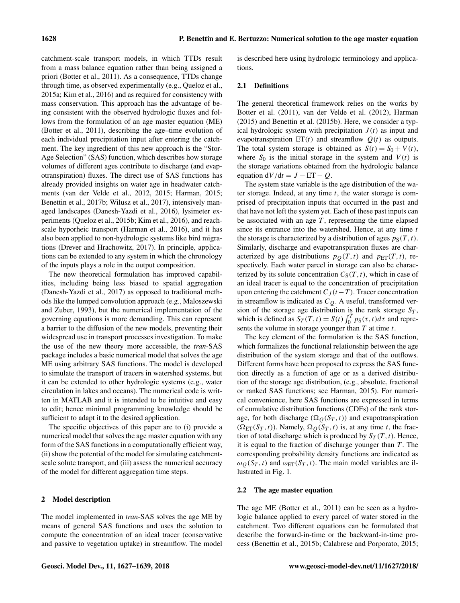catchment-scale transport models, in which TTDs result from a mass balance equation rather than being assigned a priori [\(Botter et al.,](#page-11-13) [2011\)](#page-11-13). As a consequence, TTDs change through time, as observed experimentally (e.g., [Queloz et al.,](#page-11-14) [2015a;](#page-11-14) [Kim et al.,](#page-11-15) [2016\)](#page-11-15) and as required for consistency with mass conservation. This approach has the advantage of being consistent with the observed hydrologic fluxes and follows from the formulation of an age master equation (ME) [\(Botter et al.,](#page-11-13) [2011\)](#page-11-13), describing the age–time evolution of each individual precipitation input after entering the catchment. The key ingredient of this new approach is the "Stor-Age Selection" (SAS) function, which describes how storage volumes of different ages contribute to discharge (and evapotranspiration) fluxes. The direct use of SAS functions has already provided insights on water age in headwater catchments [\(van der Velde et al.,](#page-12-3) [2012,](#page-12-3) [2015;](#page-12-4) [Harman,](#page-11-16) [2015;](#page-11-16) [Benettin et al.,](#page-10-0) [2017b;](#page-10-0) [Wilusz et al.,](#page-12-1) [2017\)](#page-12-1), intensively managed landscapes [\(Danesh-Yazdi et al.,](#page-11-6) [2016\)](#page-11-6), lysimeter experiments [\(Queloz et al.,](#page-11-17) [2015b;](#page-11-17) [Kim et al.,](#page-11-15) [2016\)](#page-11-15), and reachscale hyporheic transport [\(Harman et al.,](#page-11-18) [2016\)](#page-11-18), and it has also been applied to non-hydrologic systems like bird migrations [\(Drever and Hrachowitz,](#page-11-19) [2017\)](#page-11-19). In principle, applications can be extended to any system in which the chronology of the inputs plays a role in the output composition.

The new theoretical formulation has improved capabilities, including being less biased to spatial aggregation [\(Danesh-Yazdi et al.,](#page-11-20) [2017\)](#page-11-20) as opposed to traditional methods like the lumped convolution approach (e.g., [Maloszewski](#page-11-21) [and Zuber,](#page-11-21) [1993\)](#page-11-21), but the numerical implementation of the governing equations is more demanding. This can represent a barrier to the diffusion of the new models, preventing their widespread use in transport processes investigation. To make the use of the new theory more accessible, the *tran*-SAS package includes a basic numerical model that solves the age ME using arbitrary SAS functions. The model is developed to simulate the transport of tracers in watershed systems, but it can be extended to other hydrologic systems (e.g., water circulation in lakes and oceans). The numerical code is written in MATLAB and it is intended to be intuitive and easy to edit; hence minimal programming knowledge should be sufficient to adapt it to the desired application.

The specific objectives of this paper are to (i) provide a numerical model that solves the age master equation with any form of the SAS functions in a computationally efficient way, (ii) show the potential of the model for simulating catchmentscale solute transport, and (iii) assess the numerical accuracy of the model for different aggregation time steps.

#### 2 Model description

The model implemented in *tran*-SAS solves the age ME by means of general SAS functions and uses the solution to compute the concentration of an ideal tracer (conservative and passive to vegetation uptake) in streamflow. The model is described here using hydrologic terminology and applications.

#### <span id="page-1-0"></span>2.1 Definitions

The general theoretical framework relies on the works by [Botter et al.](#page-11-13) [\(2011\)](#page-11-13), [van der Velde et al.](#page-12-3) [\(2012\)](#page-12-3), [Harman](#page-11-16) [\(2015\)](#page-11-16) and [Benettin et al.](#page-10-1) [\(2015b\)](#page-10-1). Here, we consider a typical hydrologic system with precipitation  $J(t)$  as input and evapotranspiration  $ET(t)$  and streamflow  $Q(t)$  as outputs. The total system storage is obtained as  $S(t) = S_0 + V(t)$ , where  $S_0$  is the initial storage in the system and  $V(t)$  is the storage variations obtained from the hydrologic balance equation  $dV/dt = J - ET - Q$ .

The system state variable is the age distribution of the water storage. Indeed, at any time  $t$ , the water storage is comprised of precipitation inputs that occurred in the past and that have not left the system yet. Each of these past inputs can be associated with an age  $T$ , representing the time elapsed since its entrance into the watershed. Hence, at any time  $t$ the storage is characterized by a distribution of ages  $p_S(T, t)$ . Similarly, discharge and evapotranspiration fluxes are characterized by age distributions  $p_Q(T, t)$  and  $p_{ET}(T, t)$ , respectively. Each water parcel in storage can also be characterized by its solute concentration  $C_S(T, t)$ , which in case of an ideal tracer is equal to the concentration of precipitation upon entering the catchment  $C_J(t-T)$ . Tracer concentration in streamflow is indicated as  $C_Q$ . A useful, transformed version of the storage age distribution is the rank storage  $S_T$ , which is defined as  $S_T(T, t) = S(t) \int_0^T p_S(\tau, t) d\tau$  and represents the volume in storage younger than  $T$  at time  $t$ .

The key element of the formulation is the SAS function, which formalizes the functional relationship between the age distribution of the system storage and that of the outflows. Different forms have been proposed to express the SAS function directly as a function of age or as a derived distribution of the storage age distribution, (e.g., absolute, fractional or ranked SAS functions; see [Harman,](#page-11-16) [2015\)](#page-11-16). For numerical convenience, here SAS functions are expressed in terms of cumulative distribution functions (CDFs) of the rank storage, for both discharge  $(\Omega_O(S_T, t))$  and evapotranspiration  $(\Omega_{\text{ET}}(S_T, t))$ . Namely,  $\Omega_O(S_T, t)$  is, at any time t, the fraction of total discharge which is produced by  $S_T(T, t)$ . Hence, it is equal to the fraction of discharge younger than  $T$ . The corresponding probability density functions are indicated as  $\omega_O(S_T, t)$  and  $\omega_{\text{ET}}(S_T, t)$ . The main model variables are illustrated in Fig. [1.](#page-2-0)

#### 2.2 The age master equation

The age ME [\(Botter et al.,](#page-11-13) [2011\)](#page-11-13) can be seen as a hydrologic balance applied to every parcel of water stored in the catchment. Two different equations can be formulated that describe the forward-in-time or the backward-in-time process [\(Benettin et al.,](#page-10-1) [2015b;](#page-10-1) [Calabrese and Porporato,](#page-11-22) [2015;](#page-11-22)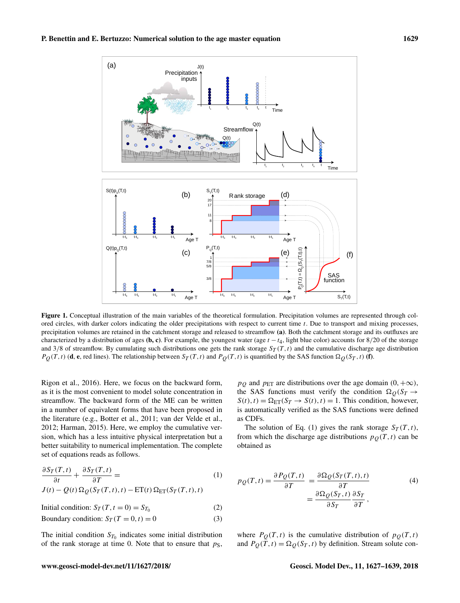<span id="page-2-0"></span>

Figure 1. Conceptual illustration of the main variables of the theoretical formulation. Precipitation volumes are represented through colored circles, with darker colors indicating the older precipitations with respect to current time  $t$ . Due to transport and mixing processes, precipitation volumes are retained in the catchment storage and released to streamflow (a). Both the catchment storage and its outfluxes are characterized by a distribution of ages (b, c). For example, the youngest water (age  $t - t_4$ , light blue color) accounts for 8/20 of the storage and 3/8 of streamflow. By cumulating such distributions one gets the rank storage  $S_T(T, t)$  and the cumulative discharge age distribution  $P_Q(T, t)$  (d, e, red lines). The relationship between  $S_T(T, t)$  and  $P_Q(T, t)$  is quantified by the SAS function  $\Omega_Q(S_T, t)$  (f).

[Rigon et al.,](#page-12-5) [2016\)](#page-12-5). Here, we focus on the backward form, as it is the most convenient to model solute concentration in streamflow. The backward form of the ME can be written in a number of equivalent forms that have been proposed in the literature (e.g., [Botter et al.,](#page-11-13) [2011;](#page-11-13) [van der Velde et al.,](#page-12-3) [2012;](#page-12-3) [Harman,](#page-11-16) [2015\)](#page-11-16). Here, we employ the cumulative version, which has a less intuitive physical interpretation but a better suitability to numerical implementation. The complete set of equations reads as follows.

$$
\frac{\partial S_T(T,t)}{\partial t} + \frac{\partial S_T(T,t)}{\partial T} = \tag{1}
$$

$$
J(t) - Q(t) \Omega_Q(S_T(T, t), t) - ET(t) \Omega_{ET}(S_T(T, t), t)
$$

Initial condition:  $S_T(T, t = 0) = S_{T_0}$ (2)

Boundary condition: 
$$
S_T(T = 0, t) = 0
$$
 (3)

The initial condition  $S_{T_0}$  indicates some initial distribution of the rank storage at time 0. Note that to ensure that  $p<sub>S</sub>$ ,

 $p_Q$  and  $p_{ET}$  are distributions over the age domain (0, + $\infty$ ), the SAS functions must verify the condition  $\Omega_Q(S_T \to$  $S(t), t$  =  $\Omega_{\text{ET}}(S_T \rightarrow S(t), t) = 1$ . This condition, however, is automatically verified as the SAS functions were defined as CDFs.

The solution of Eq. [\(1\)](#page-2-1) gives the rank storage  $S_T(T, t)$ , from which the discharge age distributions  $p_Q(T, t)$  can be obtained as

<span id="page-2-1"></span>
$$
p_Q(T,t) = \frac{\partial P_Q(T,t)}{\partial T} = \frac{\partial \Omega_Q(S_T(T,t),t)}{\partial T} = \frac{\partial \Omega_Q(S_T,T,t)}{\partial S_T} \frac{\partial S_T}{\partial T},
$$
\n(4)

where  $P_Q(T, t)$  is the cumulative distribution of  $p_Q(T, t)$ and  $P_Q(T, t) = \Omega_Q(S_T, t)$  by definition. Stream solute con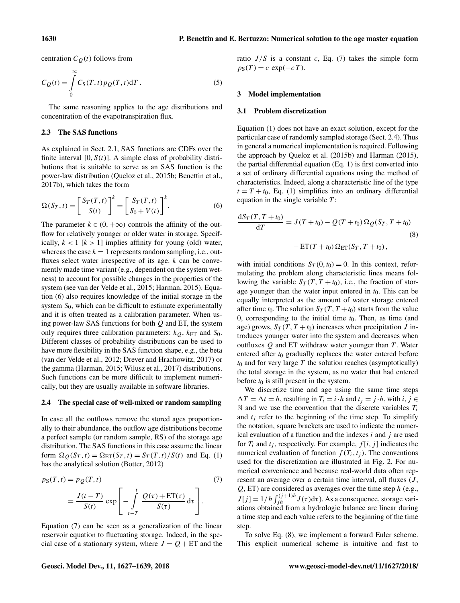centration  $C_Q(t)$  follows from

$$
C_Q(t) = \int\limits_0^\infty C_S(T, t) p_Q(T, t) dT.
$$
 (5)

The same reasoning applies to the age distributions and concentration of the evapotranspiration flux.

#### 2.3 The SAS functions

As explained in Sect. [2.1,](#page-1-0) SAS functions are CDFs over the finite interval  $[0, S(t)]$ . A simple class of probability distributions that is suitable to serve as an SAS function is the power-law distribution [\(Queloz et al.,](#page-11-17) [2015b;](#page-11-17) [Benettin et al.,](#page-10-0) [2017b\)](#page-10-0), which takes the form

<span id="page-3-0"></span>
$$
\Omega(S_T, t) = \left[\frac{S_T(T, t)}{S(t)}\right]^k = \left[\frac{S_T(T, t)}{S_0 + V(t)}\right]^k.
$$
\n(6)

The parameter  $k \in (0, +\infty)$  controls the affinity of the outflow for relatively younger or older water in storage. Specifically,  $k < 1$  [ $k > 1$ ] implies affinity for young (old) water, whereas the case  $k = 1$  represents random sampling, i.e., outfluxes select water irrespective of its age.  $k$  can be conveniently made time variant (e.g., dependent on the system wetness) to account for possible changes in the properties of the system (see [van der Velde et al.,](#page-12-4) [2015;](#page-12-4) [Harman,](#page-11-16) [2015\)](#page-11-16). Equation [\(6\)](#page-3-0) also requires knowledge of the initial storage in the system  $S_0$ , which can be difficult to estimate experimentally and it is often treated as a calibration parameter. When using power-law SAS functions for both  $Q$  and ET, the system only requires three calibration parameters:  $k_O$ ,  $k_{ET}$  and  $S_0$ . Different classes of probability distributions can be used to have more flexibility in the SAS function shape, e.g., the beta [\(van der Velde et al.,](#page-12-3) [2012;](#page-12-3) [Drever and Hrachowitz,](#page-11-19) [2017\)](#page-11-19) or the gamma [\(Harman,](#page-11-16) [2015;](#page-11-16) [Wilusz et al.,](#page-12-1) [2017\)](#page-12-1) distributions. Such functions can be more difficult to implement numerically, but they are usually available in software libraries.

#### <span id="page-3-2"></span>2.4 The special case of well-mixed or random sampling

In case all the outflows remove the stored ages proportionally to their abundance, the outflow age distributions become a perfect sample (or random sample, RS) of the storage age distribution. The SAS functions in this case assume the linear form  $\Omega_O(S_T, t) = \Omega_{\text{ET}}(S_T, t) = S_T(T, t)/S(t)$  and Eq. [\(1\)](#page-2-1) has the analytical solution [\(Botter,](#page-10-2) [2012\)](#page-10-2)

$$
p_{S}(T, t) = p_{Q}(T, t)
$$
\n
$$
= \frac{J(t - T)}{S(t)} \exp\left[-\int_{t - T}^{t} \frac{Q(\tau) + ET(\tau)}{S(\tau)} d\tau\right].
$$
\n(7)

Equation [\(7\)](#page-3-1) can be seen as a generalization of the linear reservoir equation to fluctuating storage. Indeed, in the special case of a stationary system, where  $J = Q + ET$  and the ratio  $J/S$  is a constant c, Eq. [\(7\)](#page-3-1) takes the simple form  $p_S(T) = c \exp(-c T).$ 

#### 3 Model implementation

#### 3.1 Problem discretization

Equation [\(1\)](#page-2-1) does not have an exact solution, except for the particular case of randomly sampled storage (Sect. [2.4\)](#page-3-2). Thus in general a numerical implementation is required. Following the approach by [Queloz et al.](#page-11-17) [\(2015b\)](#page-11-17) and [Harman](#page-11-16) [\(2015\)](#page-11-16), the partial differential equation (Eq. [1\)](#page-2-1) is first converted into a set of ordinary differential equations using the method of characteristics. Indeed, along a characteristic line of the type  $t = T + t_0$ , Eq. [\(1\)](#page-2-1) simplifies into an ordinary differential equation in the single variable  $T$ :

<span id="page-3-3"></span>
$$
\frac{dS_T(T, T + t_0)}{dT} = J(T + t_0) - Q(T + t_0) \Omega_Q(S_T, T + t_0)
$$
\n
$$
- ET(T + t_0) \Omega_{ET}(S_T, T + t_0),
$$
\n(8)

with initial conditions  $S_T(0, t_0) = 0$ . In this context, reformulating the problem along characteristic lines means following the variable  $S_T(T, T + t_0)$ , i.e., the fraction of storage younger than the water input entered in  $t_0$ . This can be equally interpreted as the amount of water storage entered after time  $t_0$ . The solution  $S_T(T, T+t_0)$  starts from the value 0, corresponding to the initial time  $t_0$ . Then, as time (and age) grows,  $S_T(T, T + t_0)$  increases when precipitation J introduces younger water into the system and decreases when outfluxes  $Q$  and ET withdraw water younger than  $T$ . Water entered after  $t_0$  gradually replaces the water entered before  $t_0$  and for very large T the solution reaches (asymptotically) the total storage in the system, as no water that had entered before  $t_0$  is still present in the system.

We discretize time and age using the same time steps  $\Delta T = \Delta t = h$ , resulting in  $T_i = i \cdot h$  and  $t_j = j \cdot h$ , with  $i, j \in$  $\mathbb N$  and we use the convention that the discrete variables  $T_i$ and  $t_i$  refer to the beginning of the time step. To simplify the notation, square brackets are used to indicate the numerical evaluation of a function and the indexes  $i$  and  $j$  are used for  $T_i$  and  $t_i$ , respectively. For example,  $f[i, j]$  indicates the numerical evaluation of function  $f(T_i, t_i)$ . The conventions used for the discretization are illustrated in Fig. [2.](#page-4-0) For numerical convenience and because real-world data often represent an average over a certain time interval, all fluxes  $(J, \mathcal{L})$  $Q$ , ET) are considered as averages over the time step  $h$  (e.g.,  $J[j] = 1/h \int_{jh}^{(j+1)h} J(\tau) d\tau$ ). As a consequence, storage variations obtained from a hydrologic balance are linear during a time step and each value refers to the beginning of the time step.

<span id="page-3-1"></span>To solve Eq. [\(8\)](#page-3-3), we implement a forward Euler scheme. This explicit numerical scheme is intuitive and fast to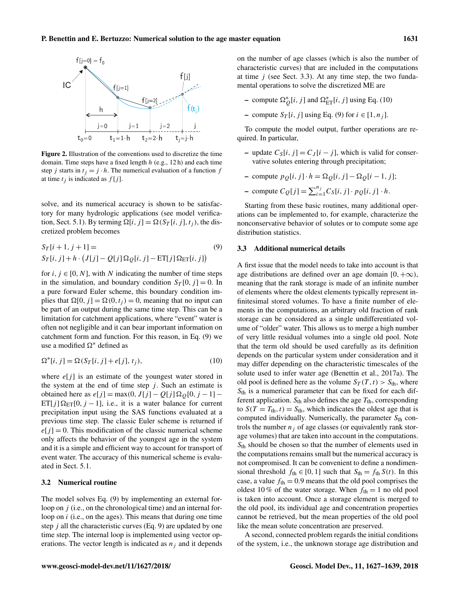<span id="page-4-0"></span>

Figure 2. Illustration of the conventions used to discretize the time domain. Time steps have a fixed length  $h$  (e.g., 12 h) and each time step j starts in  $t_j = j \cdot h$ . The numerical evaluation of a function f at time  $t_j$  is indicated as  $f[j]$ .

solve, and its numerical accuracy is shown to be satisfactory for many hydrologic applications (see model verifica-tion, Sect. [5.1\)](#page-6-0). By terming  $\Omega[i, j] = \Omega(S_T[i, j], t_i)$ , the discretized problem becomes

$$
S_T[i+1, j+1] = (9)
$$
  
\n
$$
S_T[i, j] + h \cdot (J[j] - Q[j] \Omega_Q[i, j] - ET[j] \Omega_{ET}[i, j])
$$

for i,  $j \in [0, N]$ , with N indicating the number of time steps in the simulation, and boundary condition  $S_T[0, j] = 0$ . In a pure forward Euler scheme, this boundary condition implies that  $\Omega[0, j] = \Omega(0, t_i) = 0$ , meaning that no input can be part of an output during the same time step. This can be a limitation for catchment applications, where "event" water is often not negligible and it can bear important information on catchment form and function. For this reason, in Eq. [\(9\)](#page-4-1) we use a modified  $\Omega^*$  defined as

<span id="page-4-3"></span>
$$
\Omega^*[i,j] = \Omega(S_T[i,j] + e[j], t_j),\tag{10}
$$

where  $e[j]$  is an estimate of the youngest water stored in the system at the end of time step  $j$ . Such an estimate is obtained here as  $e[j] = \max(0, J[j] - Q[j] \Omega_O[0, j - 1] -$ ET[j] $\Omega_{ET}[0, j-1]$ , i.e., it is a water balance for current precipitation input using the SAS functions evaluated at a previous time step. The classic Euler scheme is returned if  $e[j] = 0$ . This modification of the classic numerical scheme only affects the behavior of the youngest age in the system and it is a simple and efficient way to account for transport of event water. The accuracy of this numerical scheme is evaluated in Sect. [5.1.](#page-6-0)

#### <span id="page-4-4"></span>3.2 Numerical routine

The model solves Eq. [\(9\)](#page-4-1) by implementing an external forloop on  $j$  (i.e., on the chronological time) and an internal forloop on *i* (i.e., on the ages). This means that during one time step  $j$  all the characteristic curves (Eq. [9\)](#page-4-1) are updated by one time step. The internal loop is implemented using vector operations. The vector length is indicated as  $n_j$  and it depends on the number of age classes (which is also the number of characteristic curves) that are included in the computations at time  $j$  (see Sect. [3.3\)](#page-4-2). At any time step, the two fundamental operations to solve the discretized ME are

- compute  $\Omega_{Q}^{*}[i, j]$  and  $\Omega_{ET}^{*}[i, j]$  using Eq. [\(10\)](#page-4-3)
- compute  $S_T[i, j]$  using Eq. [\(9\)](#page-4-1) for  $i \in [1, n_i]$ .

To compute the model output, further operations are required. In particular,

- update  $C_S[i, j] = C_J[i j]$ , which is valid for conservative solutes entering through precipitation;
- compute  $p_O[i, j] \cdot h = \Omega_O[i, j] \Omega_O[i 1, j];$
- compute  $C_Q[j] = \sum_{i=1}^{n_j} C_S[i, j] \cdot p_Q[i, j] \cdot h$ .

Starting from these basic routines, many additional operations can be implemented to, for example, characterize the nonconservative behavior of solutes or to compute some age distribution statistics.

#### <span id="page-4-2"></span><span id="page-4-1"></span>3.3 Additional numerical details

A first issue that the model needs to take into account is that age distributions are defined over an age domain  $[0,+\infty)$ , meaning that the rank storage is made of an infinite number of elements where the oldest elements typically represent infinitesimal stored volumes. To have a finite number of elements in the computations, an arbitrary old fraction of rank storage can be considered as a single undifferentiated volume of "older" water. This allows us to merge a high number of very little residual volumes into a single old pool. Note that the term old should be used carefully as its definition depends on the particular system under consideration and it may differ depending on the characteristic timescales of the solute used to infer water age [\(Benettin et al.,](#page-10-3) [2017a\)](#page-10-3). The old pool is defined here as the volume  $S_T(T, t) > S_{\text{th}}$ , where  $S<sub>th</sub>$  is a numerical parameter that can be fixed for each different application.  $S_{\text{th}}$  also defines the age  $T_{\text{th}}$ , corresponding to  $S(T = T_{\text{th}}, t) = S_{\text{th}}$ , which indicates the oldest age that is computed individually. Numerically, the parameter  $S_{th}$  controls the number  $n_i$  of age classes (or equivalently rank storage volumes) that are taken into account in the computations.  $S<sub>th</sub>$  should be chosen so that the number of elements used in the computations remains small but the numerical accuracy is not compromised. It can be convenient to define a nondimensional threshold  $f_{\text{th}} \in [0, 1]$  such that  $S_{\text{th}} = f_{\text{th}} S(t)$ . In this case, a value  $f_{\text{th}} = 0.9$  means that the old pool comprises the oldest 10 % of the water storage. When  $f_{\text{th}} = 1$  no old pool is taken into account. Once a storage element is merged to the old pool, its individual age and concentration properties cannot be retrieved, but the mean properties of the old pool like the mean solute concentration are preserved.

A second, connected problem regards the initial conditions of the system, i.e., the unknown storage age distribution and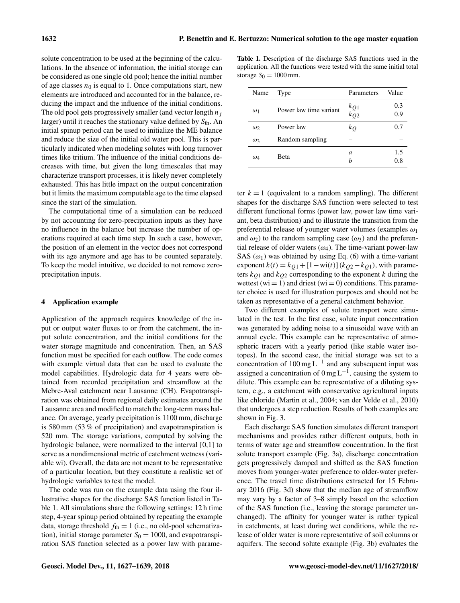solute concentration to be used at the beginning of the calculations. In the absence of information, the initial storage can be considered as one single old pool; hence the initial number of age classes  $n_0$  is equal to 1. Once computations start, new elements are introduced and accounted for in the balance, reducing the impact and the influence of the initial conditions. The old pool gets progressively smaller (and vector length  $n_j$ larger) until it reaches the stationary value defined by  $S_{th}$ . An initial spinup period can be used to initialize the ME balance and reduce the size of the initial old water pool. This is particularly indicated when modeling solutes with long turnover times like tritium. The influence of the initial conditions decreases with time, but given the long timescales that may characterize transport processes, it is likely never completely exhausted. This has little impact on the output concentration but it limits the maximum computable age to the time elapsed since the start of the simulation.

The computational time of a simulation can be reduced by not accounting for zero-precipitation inputs as they have no influence in the balance but increase the number of operations required at each time step. In such a case, however, the position of an element in the vector does not correspond with its age anymore and age has to be counted separately. To keep the model intuitive, we decided to not remove zeroprecipitation inputs.

#### <span id="page-5-1"></span>4 Application example

Application of the approach requires knowledge of the input or output water fluxes to or from the catchment, the input solute concentration, and the initial conditions for the water storage magnitude and concentration. Then, an SAS function must be specified for each outflow. The code comes with example virtual data that can be used to evaluate the model capabilities. Hydrologic data for 4 years were obtained from recorded precipitation and streamflow at the Mebre-Aval catchment near Lausanne (CH). Evapotranspiration was obtained from regional daily estimates around the Lausanne area and modified to match the long-term mass balance. On average, yearly precipitation is 1100 mm, discharge is 580 mm (53 % of precipitation) and evapotranspiration is 520 mm. The storage variations, computed by solving the hydrologic balance, were normalized to the interval [0,1] to serve as a nondimensional metric of catchment wetness (variable wi). Overall, the data are not meant to be representative of a particular location, but they constitute a realistic set of hydrologic variables to test the model.

The code was run on the example data using the four illustrative shapes for the discharge SAS function listed in Table [1.](#page-5-0) All simulations share the following settings: 12 h time step, 4-year spinup period obtained by repeating the example data, storage threshold  $f_{\text{th}} = 1$  (i.e., no old-pool schematization), initial storage parameter  $S_0 = 1000$ , and evapotranspiration SAS function selected as a power law with parame-

<span id="page-5-0"></span>Table 1. Description of the discharge SAS functions used in the application. All the functions were tested with the same initial total storage  $S_0 = 1000$  mm.

| Name       | Type                   | Parameters              | Value      |
|------------|------------------------|-------------------------|------------|
| $\omega_1$ | Power law time variant | $\frac{k_{Q1}}{k_{Q2}}$ | 0.3<br>0.9 |
| $\omega_2$ | Power law              | $k_{O}$                 | 0.7        |
| $\omega$ 3 | Random sampling        |                         |            |
| $\omega_4$ | <b>Beta</b>            | a<br>h                  | 1.5<br>0.8 |

ter  $k = 1$  (equivalent to a random sampling). The different shapes for the discharge SAS function were selected to test different functional forms (power law, power law time variant, beta distribution) and to illustrate the transition from the preferential release of younger water volumes (examples  $\omega_1$ and  $\omega_2$ ) to the random sampling case  $(\omega_3)$  and the preferential release of older waters  $(\omega_4)$ . The time-variant power-law SAS  $(\omega_1)$  was obtained by using Eq. [\(6\)](#page-3-0) with a time-variant exponent  $k(t) = k_{O1} + [1 - wi(t)](k_{O2} - k_{O1})$ , with parameters  $k_{O1}$  and  $k_{O2}$  corresponding to the exponent k during the wettest (wi  $= 1$ ) and driest (wi  $= 0$ ) conditions. This parameter choice is used for illustration purposes and should not be taken as representative of a general catchment behavior.

Two different examples of solute transport were simulated in the test. In the first case, solute input concentration was generated by adding noise to a sinusoidal wave with an annual cycle. This example can be representative of atmospheric tracers with a yearly period (like stable water isotopes). In the second case, the initial storage was set to a concentration of  $100 \text{ mg L}^{-1}$  and any subsequent input was assigned a concentration of  $0 \text{ mg } L^{-1}$ , causing the system to dilute. This example can be representative of a diluting system, e.g., a catchment with conservative agricultural inputs like chloride [\(Martin et al.,](#page-11-23) [2004;](#page-11-23) [van der Velde et al.,](#page-12-6) [2010\)](#page-12-6) that undergoes a step reduction. Results of both examples are shown in Fig. [3.](#page-6-1)

Each discharge SAS function simulates different transport mechanisms and provides rather different outputs, both in terms of water age and streamflow concentration. In the first solute transport example (Fig. [3a](#page-6-1)), discharge concentration gets progressively damped and shifted as the SAS function moves from younger-water preference to older-water preference. The travel time distributions extracted for 15 February 2016 (Fig. [3d](#page-6-1)) show that the median age of streamflow may vary by a factor of 3–8 simply based on the selection of the SAS function (i.e., leaving the storage parameter unchanged). The affinity for younger water is rather typical in catchments, at least during wet conditions, while the release of older water is more representative of soil columns or aquifers. The second solute example (Fig. [3b](#page-6-1)) evaluates the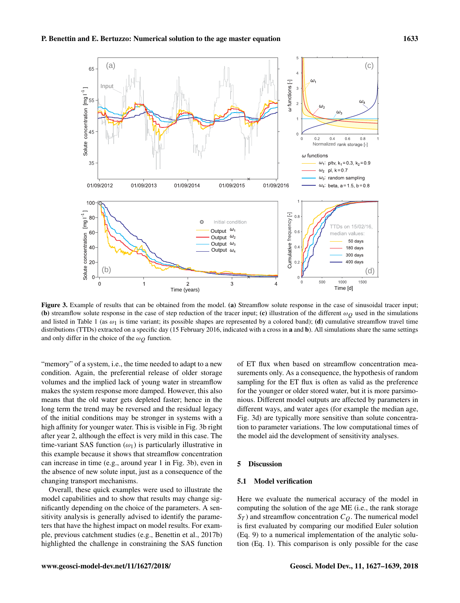<span id="page-6-1"></span>

Figure 3. Example of results that can be obtained from the model. (a) Streamflow solute response in the case of sinusoidal tracer input; (b) streamflow solute response in the case of step reduction of the tracer input; (c) illustration of the different  $\omega<sub>O</sub>$  used in the simulations and listed in Table [1](#page-5-0) (as  $\omega_1$  is time variant; its possible shapes are represented by a colored band); (d) cumulative streamflow travel time distributions (TTDs) extracted on a specific day (15 February 2016, indicated with a cross in a and b). All simulations share the same settings and only differ in the choice of the  $\omega<sub>O</sub>$  function.

"memory" of a system, i.e., the time needed to adapt to a new condition. Again, the preferential release of older storage volumes and the implied lack of young water in streamflow makes the system response more damped. However, this also means that the old water gets depleted faster; hence in the long term the trend may be reversed and the residual legacy of the initial conditions may be stronger in systems with a high affinity for younger water. This is visible in Fig. [3b](#page-6-1) right after year 2, although the effect is very mild in this case. The time-variant SAS function  $(\omega_1)$  is particularly illustrative in this example because it shows that streamflow concentration can increase in time (e.g., around year 1 in Fig. [3b](#page-6-1)), even in the absence of new solute input, just as a consequence of the changing transport mechanisms.

Overall, these quick examples were used to illustrate the model capabilities and to show that results may change significantly depending on the choice of the parameters. A sensitivity analysis is generally advised to identify the parameters that have the highest impact on model results. For example, previous catchment studies (e.g., [Benettin et al.,](#page-10-0) [2017b\)](#page-10-0) highlighted the challenge in constraining the SAS function of ET flux when based on streamflow concentration measurements only. As a consequence, the hypothesis of random sampling for the ET flux is often as valid as the preference for the younger or older stored water, but it is more parsimonious. Different model outputs are affected by parameters in different ways, and water ages (for example the median age, Fig. [3d](#page-6-1)) are typically more sensitive than solute concentration to parameter variations. The low computational times of the model aid the development of sensitivity analyses.

#### 5 Discussion

### <span id="page-6-0"></span>5.1 Model verification

Here we evaluate the numerical accuracy of the model in computing the solution of the age ME (i.e., the rank storage  $S_T$ ) and streamflow concentration  $C_Q$ . The numerical model is first evaluated by comparing our modified Euler solution (Eq. [9\)](#page-4-1) to a numerical implementation of the analytic solution (Eq. [1\)](#page-2-1). This comparison is only possible for the case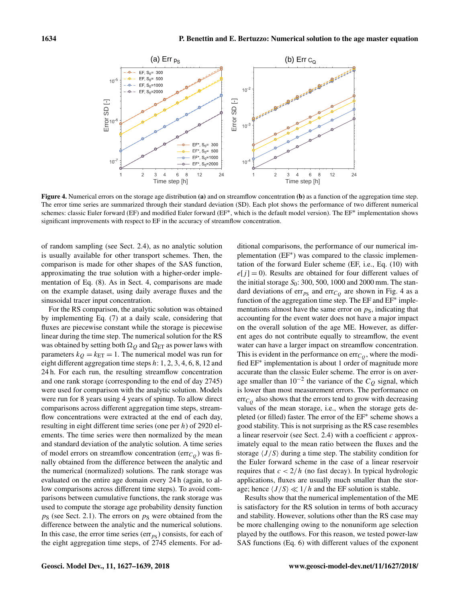<span id="page-7-0"></span>

Figure 4. Numerical errors on the storage age distribution (a) and on streamflow concentration (b) as a function of the aggregation time step. The error time series are summarized through their standard deviation (SD). Each plot shows the performance of two different numerical schemes: classic Euler forward (EF) and modified Euler forward (EF<sup>∗</sup>, which is the default model version). The EF<sup>∗</sup> implementation shows significant improvements with respect to EF in the accuracy of streamflow concentration.

of random sampling (see Sect. [2.4\)](#page-3-2), as no analytic solution is usually available for other transport schemes. Then, the comparison is made for other shapes of the SAS function, approximating the true solution with a higher-order implementation of Eq. [\(8\)](#page-3-3). As in Sect. [4,](#page-5-1) comparisons are made on the example dataset, using daily average fluxes and the sinusoidal tracer input concentration.

For the RS comparison, the analytic solution was obtained by implementing Eq. [\(7\)](#page-3-1) at a daily scale, considering that fluxes are piecewise constant while the storage is piecewise linear during the time step. The numerical solution for the RS was obtained by setting both  $\Omega_O$  and  $\Omega_{ET}$  as power laws with parameters  $k<sub>O</sub> = k<sub>ET</sub> = 1$ . The numerical model was run for eight different aggregation time steps h: 1, 2, 3, 4, 6, 8, 12 and 24 h. For each run, the resulting streamflow concentration and one rank storage (corresponding to the end of day 2745) were used for comparison with the analytic solution. Models were run for 8 years using 4 years of spinup. To allow direct comparisons across different aggregation time steps, streamflow concentrations were extracted at the end of each day, resulting in eight different time series (one per h) of 2920 elements. The time series were then normalized by the mean and standard deviation of the analytic solution. A time series of model errors on streamflow concentration ( $\text{err}_{C_Q}$ ) was finally obtained from the difference between the analytic and the numerical (normalized) solutions. The rank storage was evaluated on the entire age domain every 24 h (again, to allow comparisons across different time steps). To avoid comparisons between cumulative functions, the rank storage was used to compute the storage age probability density function  $p<sub>S</sub>$  (see Sect. [2.1\)](#page-1-0). The errors on  $p<sub>S</sub>$  were obtained from the difference between the analytic and the numerical solutions. In this case, the error time series  $(\text{err}_{p_S})$  consists, for each of the eight aggregation time steps, of 2745 elements. For additional comparisons, the performance of our numerical implementation (EF<sup>\*</sup>) was compared to the classic implementation of the forward Euler scheme (EF, i.e., Eq. [\(10\)](#page-4-3) with  $e[i] = 0$ ). Results are obtained for four different values of the initial storage  $S_0$ : 300, 500, 1000 and 2000 mm. The standard deviations of  $err_{p_S}$  and  $err_{C_Q}$  are shown in Fig. [4](#page-7-0) as a function of the aggregation time step. The EF and EF<sup>∗</sup> implementations almost have the same error on  $p<sub>S</sub>$ , indicating that accounting for the event water does not have a major impact on the overall solution of the age ME. However, as different ages do not contribute equally to streamflow, the event water can have a larger impact on streamflow concentration. This is evident in the performance on  $\text{err}_{C_Q}$ , where the modified EF<sup>\*</sup> implementation is about 1 order of magnitude more accurate than the classic Euler scheme. The error is on average smaller than  $10^{-2}$  the variance of the  $C_Q$  signal, which is lower than most measurement errors. The performance on  $\text{err}_{C_Q}$  also shows that the errors tend to grow with decreasing values of the mean storage, i.e., when the storage gets depleted (or filled) faster. The error of the EF<sup>\*</sup> scheme shows a good stability. This is not surprising as the RS case resembles a linear reservoir (see Sect. [2.4\)](#page-3-2) with a coefficient  $c$  approximately equal to the mean ratio between the fluxes and the storage  $\langle J/S \rangle$  during a time step. The stability condition for the Euler forward scheme in the case of a linear reservoir requires that  $c < 2/h$  (no fast decay). In typical hydrologic applications, fluxes are usually much smaller than the storage; hence  $\langle J/S \rangle \ll 1/h$  and the EF solution is stable.

Results show that the numerical implementation of the ME is satisfactory for the RS solution in terms of both accuracy and stability. However, solutions other than the RS case may be more challenging owing to the nonuniform age selection played by the outflows. For this reason, we tested power-law SAS functions (Eq. [6\)](#page-3-0) with different values of the exponent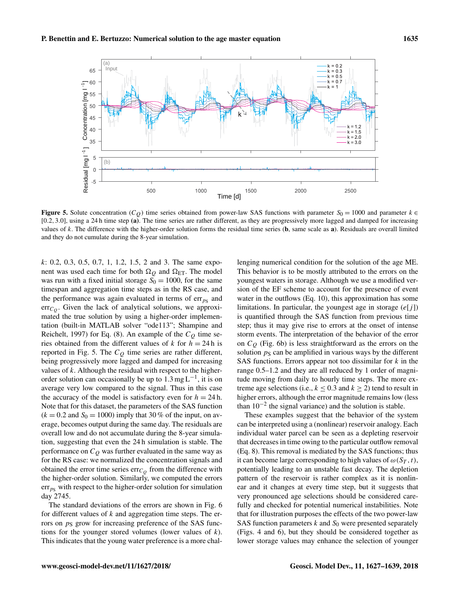<span id="page-8-0"></span>

Figure 5. Solute concentration (C<sub>O</sub>) time series obtained from power-law SAS functions with parameter S<sub>0</sub> = 1000 and parameter k ∈ [0.2, 3.0], using a 24 h time step (a). The time series are rather different, as they are progressively more lagged and damped for increasing values of k. The difference with the higher-order solution forms the residual time series  $(b, \text{same scale as a})$ . Residuals are overall limited and they do not cumulate during the 8-year simulation.

k: 0.2, 0.3, 0.5, 0.7, 1, 1.2, 1.5, 2 and 3. The same exponent was used each time for both  $\Omega_O$  and  $\Omega_{ET}$ . The model was run with a fixed initial storage  $S_0 = 1000$ , for the same timespan and aggregation time steps as in the RS case, and the performance was again evaluated in terms of  $err_{ps}$  and  $\text{err}_{C_Q}$ . Given the lack of analytical solutions, we approximated the true solution by using a higher-order implementation (built-in MATLAB solver "ode113"; [Shampine and](#page-12-7) [Reichelt,](#page-12-7) [1997\)](#page-12-7) for Eq. [\(8\)](#page-3-3). An example of the  $C<sub>O</sub>$  time series obtained from the different values of k for  $h = 24$  h is reported in Fig. [5.](#page-8-0) The  $C_Q$  time series are rather different, being progressively more lagged and damped for increasing values of  $k$ . Although the residual with respect to the higherorder solution can occasionally be up to  $1.3 \text{ mg L}^{-1}$ , it is on average very low compared to the signal. Thus in this case the accuracy of the model is satisfactory even for  $h = 24$  h. Note that for this dataset, the parameters of the SAS function  $(k = 0.2$  and  $S_0 = 1000$  imply that 30% of the input, on average, becomes output during the same day. The residuals are overall low and do not accumulate during the 8-year simulation, suggesting that even the 24 h simulation is stable. The performance on  $C<sub>O</sub>$  was further evaluated in the same way as for the RS case: we normalized the concentration signals and obtained the error time series  $\text{err}_{C_Q}$  from the difference with the higher-order solution. Similarly, we computed the errors  $\text{err}_{ps}$  with respect to the higher-order solution for simulation day 2745.

The standard deviations of the errors are shown in Fig. [6](#page-9-0) for different values of  $k$  and aggregation time steps. The errors on  $p<sub>S</sub>$  grow for increasing preference of the SAS functions for the younger stored volumes (lower values of  $k$ ). This indicates that the young water preference is a more challenging numerical condition for the solution of the age ME. This behavior is to be mostly attributed to the errors on the youngest waters in storage. Although we use a modified version of the EF scheme to account for the presence of event water in the outflows (Eq. [10\)](#page-4-3), this approximation has some limitations. In particular, the youngest age in storage  $(e[j])$ is quantified through the SAS function from previous time step; thus it may give rise to errors at the onset of intense storm events. The interpretation of the behavior of the error on  $C<sub>O</sub>$  (Fig. [6b](#page-9-0)) is less straightforward as the errors on the solution  $p<sub>S</sub>$  can be amplified in various ways by the different SAS functions. Errors appear not too dissimilar for  $k$  in the range 0.5–1.2 and they are all reduced by 1 order of magnitude moving from daily to hourly time steps. The more extreme age selections (i.e.,  $k \le 0.3$  and  $k \ge 2$ ) tend to result in higher errors, although the error magnitude remains low (less than 10−<sup>2</sup> the signal variance) and the solution is stable.

These examples suggest that the behavior of the system can be interpreted using a (nonlinear) reservoir analogy. Each individual water parcel can be seen as a depleting reservoir that decreases in time owing to the particular outflow removal (Eq. [8\)](#page-3-3). This removal is mediated by the SAS functions; thus it can become large corresponding to high values of  $\omega(S_T, t)$ , potentially leading to an unstable fast decay. The depletion pattern of the reservoir is rather complex as it is nonlinear and it changes at every time step, but it suggests that very pronounced age selections should be considered carefully and checked for potential numerical instabilities. Note that for illustration purposes the effects of the two power-law SAS function parameters  $k$  and  $S_0$  were presented separately (Figs. [4](#page-7-0) and [6\)](#page-9-0), but they should be considered together as lower storage values may enhance the selection of younger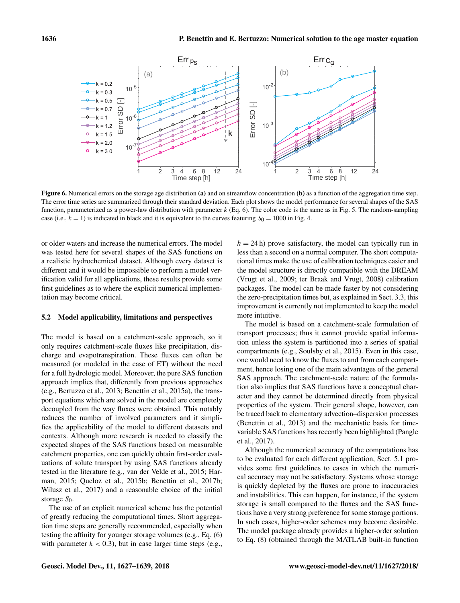<span id="page-9-0"></span>

Figure 6. Numerical errors on the storage age distribution (a) and on streamflow concentration (b) as a function of the aggregation time step. The error time series are summarized through their standard deviation. Each plot shows the model performance for several shapes of the SAS function, parameterized as a power-law distribution with parameter  $k$  (Eq. [6\)](#page-3-0). The color code is the same as in Fig. [5.](#page-8-0) The random-sampling case (i.e.,  $k = 1$ ) is indicated in black and it is equivalent to the curves featuring  $S_0 = 1000$  in Fig. [4.](#page-7-0)

or older waters and increase the numerical errors. The model was tested here for several shapes of the SAS functions on a realistic hydrochemical dataset. Although every dataset is different and it would be impossible to perform a model verification valid for all applications, these results provide some first guidelines as to where the explicit numerical implementation may become critical.

#### 5.2 Model applicability, limitations and perspectives

The model is based on a catchment-scale approach, so it only requires catchment-scale fluxes like precipitation, discharge and evapotranspiration. These fluxes can often be measured (or modeled in the case of ET) without the need for a full hydrologic model. Moreover, the pure SAS function approach implies that, differently from previous approaches (e.g., [Bertuzzo et al.,](#page-10-4) [2013;](#page-10-4) [Benettin et al.,](#page-10-5) [2015a\)](#page-10-5), the transport equations which are solved in the model are completely decoupled from the way fluxes were obtained. This notably reduces the number of involved parameters and it simplifies the applicability of the model to different datasets and contexts. Although more research is needed to classify the expected shapes of the SAS functions based on measurable catchment properties, one can quickly obtain first-order evaluations of solute transport by using SAS functions already tested in the literature (e.g., [van der Velde et al.,](#page-12-4) [2015;](#page-12-4) [Har](#page-11-16)[man,](#page-11-16) [2015;](#page-11-16) [Queloz et al.,](#page-11-17) [2015b;](#page-11-17) [Benettin et al.,](#page-10-0) [2017b;](#page-10-0) [Wilusz et al.,](#page-12-1) [2017\)](#page-12-1) and a reasonable choice of the initial storage  $S_0$ .

The use of an explicit numerical scheme has the potential of greatly reducing the computational times. Short aggregation time steps are generally recommended, especially when testing the affinity for younger storage volumes (e.g., Eq. [\(6\)](#page-3-0) with parameter  $k < 0.3$ ), but in case larger time steps (e.g.,  $h = 24$  h) prove satisfactory, the model can typically run in less than a second on a normal computer. The short computational times make the use of calibration techniques easier and the model structure is directly compatible with the DREAM [\(Vrugt et al.,](#page-12-8) [2009;](#page-12-8) [ter Braak and Vrugt,](#page-12-9) [2008\)](#page-12-9) calibration packages. The model can be made faster by not considering the zero-precipitation times but, as explained in Sect. [3.3,](#page-4-2) this improvement is currently not implemented to keep the model more intuitive.

The model is based on a catchment-scale formulation of transport processes; thus it cannot provide spatial information unless the system is partitioned into a series of spatial compartments (e.g., [Soulsby et al.,](#page-12-10) [2015\)](#page-12-10). Even in this case, one would need to know the fluxes to and from each compartment, hence losing one of the main advantages of the general SAS approach. The catchment-scale nature of the formulation also implies that SAS functions have a conceptual character and they cannot be determined directly from physical properties of the system. Their general shape, however, can be traced back to elementary advection–dispersion processes [\(Benettin et al.,](#page-10-6) [2013\)](#page-10-6) and the mechanistic basis for timevariable SAS functions has recently been highlighted [\(Pangle](#page-11-24) [et al.,](#page-11-24) [2017\)](#page-11-24).

Although the numerical accuracy of the computations has to be evaluated for each different application, Sect. [5.1](#page-6-0) provides some first guidelines to cases in which the numerical accuracy may not be satisfactory. Systems whose storage is quickly depleted by the fluxes are prone to inaccuracies and instabilities. This can happen, for instance, if the system storage is small compared to the fluxes and the SAS functions have a very strong preference for some storage portions. In such cases, higher-order schemes may become desirable. The model package already provides a higher-order solution to Eq. [\(8\)](#page-3-3) (obtained through the MATLAB built-in function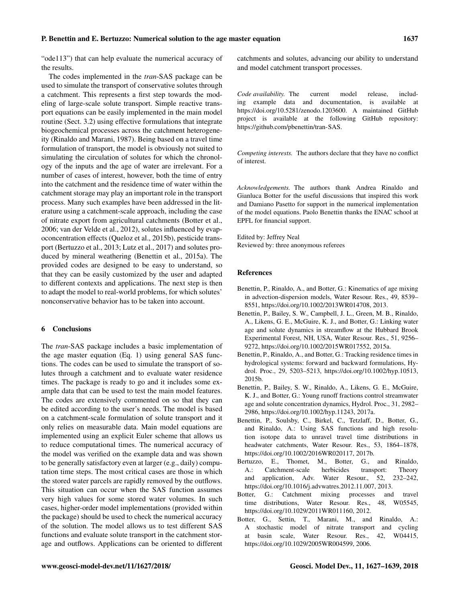"ode113") that can help evaluate the numerical accuracy of the results.

The codes implemented in the *tran*-SAS package can be used to simulate the transport of conservative solutes through a catchment. This represents a first step towards the modeling of large-scale solute transport. Simple reactive transport equations can be easily implemented in the main model routine (Sect. [3.2\)](#page-4-4) using effective formulations that integrate biogeochemical processes across the catchment heterogeneity [\(Rinaldo and Marani,](#page-12-2) [1987\)](#page-12-2). Being based on a travel time formulation of transport, the model is obviously not suited to simulating the circulation of solutes for which the chronology of the inputs and the age of water are irrelevant. For a number of cases of interest, however, both the time of entry into the catchment and the residence time of water within the catchment storage may play an important role in the transport process. Many such examples have been addressed in the literature using a catchment-scale approach, including the case of nitrate export from agricultural catchments [\(Botter et al.,](#page-10-7) [2006;](#page-10-7) [van der Velde et al.,](#page-12-3) [2012\)](#page-12-3), solutes influenced by evapoconcentration effects [\(Queloz et al.,](#page-11-17) [2015b\)](#page-11-17), pesticide transport [\(Bertuzzo et al.,](#page-10-4) [2013;](#page-10-4) [Lutz et al.,](#page-11-25) [2017\)](#page-11-25) and solutes produced by mineral weathering [\(Benettin et al.,](#page-10-5) [2015a\)](#page-10-5). The provided codes are designed to be easy to understand, so that they can be easily customized by the user and adapted to different contexts and applications. The next step is then to adapt the model to real-world problems, for which solutes' nonconservative behavior has to be taken into account.

#### 6 Conclusions

The *tran*-SAS package includes a basic implementation of the age master equation (Eq. [1\)](#page-2-1) using general SAS functions. The codes can be used to simulate the transport of solutes through a catchment and to evaluate water residence times. The package is ready to go and it includes some example data that can be used to test the main model features. The codes are extensively commented on so that they can be edited according to the user's needs. The model is based on a catchment-scale formulation of solute transport and it only relies on measurable data. Main model equations are implemented using an explicit Euler scheme that allows us to reduce computational times. The numerical accuracy of the model was verified on the example data and was shown to be generally satisfactory even at larger (e.g., daily) computation time steps. The most critical cases are those in which the stored water parcels are rapidly removed by the outflows. This situation can occur when the SAS function assumes very high values for some stored water volumes. In such cases, higher-order model implementations (provided within the package) should be used to check the numerical accuracy of the solution. The model allows us to test different SAS functions and evaluate solute transport in the catchment storage and outflows. Applications can be oriented to different catchments and solutes, advancing our ability to understand and model catchment transport processes.

*Code availability.* The current model release, including example data and documentation, is available at https://doi.org[/10.5281/zenodo.1203600.](https://doi.org/10.5281/zenodo.1203600) A maintained GitHub project is available at the following GitHub repository: [https://github.com/pbenettin/tran-SAS.](https://github.com/pbenettin/tran-SAS)

*Competing interests.* The authors declare that they have no conflict of interest.

*Acknowledgements.* The authors thank Andrea Rinaldo and Gianluca Botter for the useful discussions that inspired this work and Damiano Pasetto for support in the numerical implementation of the model equations. Paolo Benettin thanks the ENAC school at EPFL for financial support.

Edited by: Jeffrey Neal Reviewed by: three anonymous referees

#### References

- <span id="page-10-6"></span>Benettin, P., Rinaldo, A., and Botter, G.: Kinematics of age mixing in advection-dispersion models, Water Resour. Res., 49, 8539– 8551, https://doi.org[/10.1002/2013WR014708,](https://doi.org/10.1002/2013WR014708) 2013.
- <span id="page-10-5"></span>Benettin, P., Bailey, S. W., Campbell, J. L., Green, M. B., Rinaldo, A., Likens, G. E., McGuire, K. J., and Botter, G.: Linking water age and solute dynamics in streamflow at the Hubbard Brook Experimental Forest, NH, USA, Water Resour. Res., 51, 9256– 9272, https://doi.org[/10.1002/2015WR017552,](https://doi.org/10.1002/2015WR017552) 2015a.
- <span id="page-10-1"></span>Benettin, P., Rinaldo, A., and Botter, G.: Tracking residence times in hydrological systems: forward and backward formulations, Hydrol. Proc., 29, 5203–5213, https://doi.org[/10.1002/hyp.10513,](https://doi.org/10.1002/hyp.10513) 2015b.
- <span id="page-10-3"></span>Benettin, P., Bailey, S. W., Rinaldo, A., Likens, G. E., McGuire, K. J., and Botter, G.: Young runoff fractions control streamwater age and solute concentration dynamics, Hydrol. Proc., 31, 2982– 2986, https://doi.org[/10.1002/hyp.11243,](https://doi.org/10.1002/hyp.11243) 2017a.
- <span id="page-10-0"></span>Benettin, P., Soulsby, C., Birkel, C., Tetzlaff, D., Botter, G., and Rinaldo, A.: Using SAS functions and high resolution isotope data to unravel travel time distributions in headwater catchments, Water Resour. Res., 53, 1864–1878, https://doi.org[/10.1002/2016WR020117,](https://doi.org/10.1002/2016WR020117) 2017b.
- <span id="page-10-4"></span>Bertuzzo, E., Thomet, M., Botter, G., and Rinaldo, A.: Catchment-scale herbicides transport: Theory and application, Adv. Water Resour., 52, 232–242, https://doi.org[/10.1016/j.advwatres.2012.11.007,](https://doi.org/10.1016/j.advwatres.2012.11.007) 2013.
- <span id="page-10-2"></span>Botter, G.: Catchment mixing processes and travel time distributions, Water Resour. Res., 48, W05545, https://doi.org[/10.1029/2011WR011160,](https://doi.org/10.1029/2011WR011160) 2012.
- <span id="page-10-7"></span>Botter, G., Settin, T., Marani, M., and Rinaldo, A.: A stochastic model of nitrate transport and cycling at basin scale, Water Resour. Res., 42, W04415, https://doi.org[/10.1029/2005WR004599,](https://doi.org/10.1029/2005WR004599) 2006.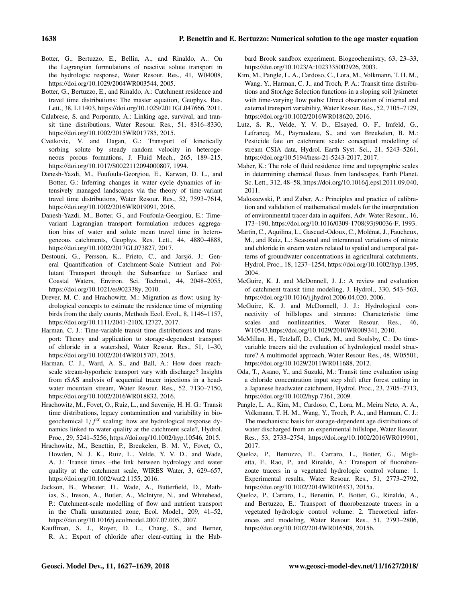- <span id="page-11-11"></span>Botter, G., Bertuzzo, E., Bellin, A., and Rinaldo, A.: On the Lagrangian formulations of reactive solute transport in the hydrologic response, Water Resour. Res., 41, W04008, https://doi.org[/10.1029/2004WR003544,](https://doi.org/10.1029/2004WR003544) 2005.
- <span id="page-11-13"></span>Botter, G., Bertuzzo, E., and Rinaldo, A.: Catchment residence and travel time distributions: The master equation, Geophys. Res. Lett., 38, L11403, https://doi.org[/10.1029/2011GL047666,](https://doi.org/10.1029/2011GL047666) 2011.
- <span id="page-11-22"></span>Calabrese, S. and Porporato, A.: Linking age, survival, and transit time distributions, Water Resour. Res., 51, 8316–8330, https://doi.org[/10.1002/2015WR017785,](https://doi.org/10.1002/2015WR017785) 2015.
- <span id="page-11-10"></span>Cvetkovic, V. and Dagan, G.: Transport of kinetically sorbing solute by steady random velocity in heterogeneous porous formations, J. Fluid Mech., 265, 189–215, https://doi.org[/10.1017/S0022112094000807,](https://doi.org/10.1017/S0022112094000807) 1994.
- <span id="page-11-6"></span>Danesh-Yazdi, M., Foufoula-Georgiou, E., Karwan, D. L., and Botter, G.: Inferring changes in water cycle dynamics of intensively managed landscapes via the theory of time-variant travel time distributions, Water Resour. Res., 52, 7593–7614, https://doi.org[/10.1002/2016WR019091,](https://doi.org/10.1002/2016WR019091) 2016.
- <span id="page-11-20"></span>Danesh-Yazdi, M., Botter, G., and Foufoula-Georgiou, E.: Timevariant Lagrangian transport formulation reduces aggregation bias of water and solute mean travel time in heterogeneous catchments, Geophys. Res. Lett., 44, 4880–4888, https://doi.org[/10.1002/2017GL073827,](https://doi.org/10.1002/2017GL073827) 2017.
- <span id="page-11-7"></span>Destouni, G., Persson, K., Prieto, C., and Jarsjö, J.: General Quantification of Catchment-Scale Nutrient and Pollutant Transport through the Subsurface to Surface and Coastal Waters, Environ. Sci. Technol., 44, 2048–2055, https://doi.org[/10.1021/es902338y,](https://doi.org/10.1021/es902338y) 2010.
- <span id="page-11-19"></span>Drever, M. C. and Hrachowitz, M.: Migration as flow: using hydrological concepts to estimate the residence time of migrating birds from the daily counts, Methods Ecol. Evol., 8, 1146–1157, https://doi.org[/10.1111/2041-210X.12727,](https://doi.org/10.1111/2041-210X.12727) 2017.
- <span id="page-11-16"></span>Harman, C. J.: Time-variable transit time distributions and transport: Theory and application to storage-dependent transport of chloride in a watershed, Water Resour. Res., 51, 1–30, https://doi.org[/10.1002/2014WR015707,](https://doi.org/10.1002/2014WR015707) 2015.
- <span id="page-11-18"></span>Harman, C. J., Ward, A. S., and Ball, A.: How does reachscale stream-hyporheic transport vary with discharge? Insights from rSAS analysis of sequential tracer injections in a headwater mountain stream, Water Resour. Res., 52, 7130–7150, https://doi.org[/10.1002/2016WR018832,](https://doi.org/10.1002/2016WR018832) 2016.
- <span id="page-11-3"></span>Hrachowitz, M., Fovet, O., Ruiz, L., and Savenije, H. H. G.: Transit time distributions, legacy contamination and variability in biogeochemical  $1/f^{\alpha}$  scaling: how are hydrological response dynamics linked to water quality at the catchment scale?, Hydrol. Proc., 29, 5241–5256, https://doi.org[/10.1002/hyp.10546,](https://doi.org/10.1002/hyp.10546) 2015.
- <span id="page-11-9"></span>Hrachowitz, M., Benettin, P., Breukelen, B. M. V., Fovet, O., Howden, N. J. K., Ruiz, L., Velde, Y. V. D., and Wade, A. J.: Transit times –the link between hydrology and water quality at the catchment scale, WIRES Water, 3, 629–657, https://doi.org[/10.1002/wat2.1155,](https://doi.org/10.1002/wat2.1155) 2016.
- <span id="page-11-2"></span>Jackson, B., Wheater, H., Wade, A., Butterfield, D., Mathias, S., Ireson, A., Butler, A., McIntyre, N., and Whitehead, P.: Catchment-scale modelling of flow and nutrient transport in the Chalk unsaturated zone, Ecol. Model., 209, 41–52, https://doi.org[/10.1016/j.ecolmodel.2007.07.005,](https://doi.org/10.1016/j.ecolmodel.2007.07.005) 2007.
- <span id="page-11-4"></span>Kauffman, S. J., Royer, D. L., Chang, S., and Berner, R. A.: Export of chloride after clear-cutting in the Hub-

bard Brook sandbox experiment, Biogeochemistry, 63, 23–33, https://doi.org[/10.1023/A:1023335002926,](https://doi.org/10.1023/A:1023335002926) 2003.

- <span id="page-11-15"></span>Kim, M., Pangle, L. A., Cardoso, C., Lora, M., Volkmann, T. H. M., Wang, Y., Harman, C. J., and Troch, P. A.: Transit time distributions and StorAge Selection functions in a sloping soil lysimeter with time-varying flow paths: Direct observation of internal and external transport variability, Water Resour. Res., 52, 7105–7129, https://doi.org[/10.1002/2016WR018620,](https://doi.org/10.1002/2016WR018620) 2016.
- <span id="page-11-25"></span>Lutz, S. R., Velde, Y. V. D., Elsayed, O. F., Imfeld, G., Lefrancq, M., Payraudeau, S., and van Breukelen, B. M.: Pesticide fate on catchment scale: conceptual modelling of stream CSIA data, Hydrol. Earth Syst. Sci., 21, 5243–5261, https://doi.org[/10.5194/hess-21-5243-2017,](https://doi.org/10.5194/hess-21-5243-2017) 2017.
- <span id="page-11-8"></span>Maher, K.: The role of fluid residence time and topographic scales in determining chemical fluxes from landscapes, Earth Planet. Sc. Lett., 312, 48–58, https://doi.org[/10.1016/j.epsl.2011.09.040,](https://doi.org/10.1016/j.epsl.2011.09.040) 2011.
- <span id="page-11-21"></span>Maloszewski, P. and Zuber, A.: Principles and practice of calibration and validation of mathematical models for the interpretation of environmental tracer data in aquifers, Adv. Water Resour., 16, 173–190, https://doi.org[/10.1016/0309-1708\(93\)90036-F,](https://doi.org/10.1016/0309-1708(93)90036-F) 1993.
- <span id="page-11-23"></span>Martin, C., Aquilina, L., Gascuel-Odoux, C., Molénat, J., Faucheux, M., and Ruiz, L.: Seasonal and interannual variations of nitrate and chloride in stream waters related to spatial and temporal patterns of groundwater concentrations in agricultural catchments, Hydrol. Proc., 18, 1237–1254, https://doi.org[/10.1002/hyp.1395,](https://doi.org/10.1002/hyp.1395) 2004.
- <span id="page-11-12"></span>McGuire, K. J. and McDonnell, J. J.: A review and evaluation of catchment transit time modeling, J. Hydrol., 330, 543–563, https://doi.org[/10.1016/j.jhydrol.2006.04.020,](https://doi.org/10.1016/j.jhydrol.2006.04.020) 2006.
- <span id="page-11-0"></span>McGuire, K. J. and McDonnell, J. J.: Hydrological connectivity of hillslopes and streams: Characteristic time scales and nonlinearities, Water Resour. Res., 46, W10543,https://doi.org[/10.1029/2010WR009341,](https://doi.org/10.1029/2010WR009341) 2010.
- <span id="page-11-1"></span>McMillan, H., Tetzlaff, D., Clark, M., and Soulsby, C.: Do timevariable tracers aid the evaluation of hydrological model structure? A multimodel approach, Water Resour. Res., 48, W05501, https://doi.org[/10.1029/2011WR011688,](https://doi.org/10.1029/2011WR011688) 2012.
- <span id="page-11-5"></span>Oda, T., Asano, Y., and Suzuki, M.: Transit time evaluation using a chloride concentration input step shift after forest cutting in a Japanese headwater catchment, Hydrol. Proc., 23, 2705–2713, https://doi.org[/10.1002/hyp.7361,](https://doi.org/10.1002/hyp.7361) 2009.
- <span id="page-11-24"></span>Pangle, L. A., Kim, M., Cardoso, C., Lora, M., Meira Neto, A. A., Volkmann, T. H. M., Wang, Y., Troch, P. A., and Harman, C. J.: The mechanistic basis for storage-dependent age distributions of water discharged from an experimental hillslope, Water Resour. Res., 53, 2733–2754, https://doi.org[/10.1002/2016WR019901,](https://doi.org/10.1002/2016WR019901) 2017.
- <span id="page-11-14"></span>Queloz, P., Bertuzzo, E., Carraro, L., Botter, G., Miglietta, F., Rao, P., and Rinaldo, A.: Transport of fluorobenzoate tracers in a vegetated hydrologic control volume: 1. Experimental results, Water Resour. Res., 51, 2773-2792, https://doi.org[/10.1002/2014WR016433,](https://doi.org/10.1002/2014WR016433) 2015a.
- <span id="page-11-17"></span>Queloz, P., Carraro, L., Benettin, P., Botter, G., Rinaldo, A., and Bertuzzo, E.: Transport of fluorobenzoate tracers in a vegetated hydrologic control volume: 2. Theoretical inferences and modeling, Water Resour. Res., 51, 2793–2806, https://doi.org[/10.1002/2014WR016508,](https://doi.org/10.1002/2014WR016508) 2015b.